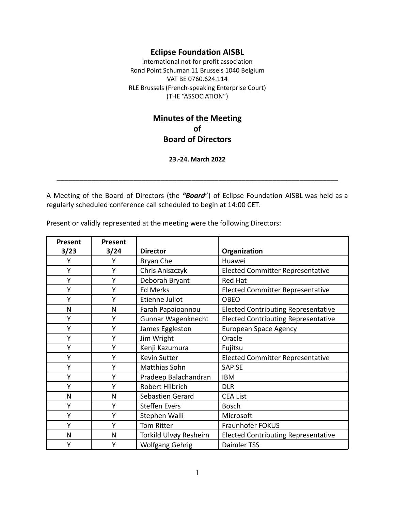### **Eclipse Foundation AISBL**

International not-for-profit association Rond Point Schuman 11 Brussels 1040 Belgium VAT BE 0760.624.114 RLE Brussels (French-speaking Enterprise Court) (THE "ASSOCIATION")

# **Minutes of the Meeting of Board of Directors**

#### **23.-24. March 2022**

\_\_\_\_\_\_\_\_\_\_\_\_\_\_\_\_\_\_\_\_\_\_\_\_\_\_\_\_\_\_\_\_\_\_\_\_\_\_\_\_\_\_\_\_\_\_\_\_\_\_\_\_\_\_\_\_\_\_\_\_\_\_\_\_\_\_\_\_\_\_\_\_\_

A Meeting of the Board of Directors (the *"Board*") of Eclipse Foundation AISBL was held as a regularly scheduled conference call scheduled to begin at 14:00 CET.

Present or validly represented at the meeting were the following Directors:

| Present      | Present |                        |                                            |
|--------------|---------|------------------------|--------------------------------------------|
| 3/23         | 3/24    | <b>Director</b>        | Organization                               |
| Υ            | Υ       | Bryan Che              | Huawei                                     |
| Y            | Υ       | Chris Aniszczyk        | <b>Elected Committer Representative</b>    |
| Y            | Υ       | Deborah Bryant         | <b>Red Hat</b>                             |
| Y            | Y       | <b>Ed Merks</b>        | <b>Elected Committer Representative</b>    |
| Y            | Υ       | Etienne Juliot         | <b>OBEO</b>                                |
| N            | N       | Farah Papaioannou      | <b>Elected Contributing Representative</b> |
| Υ            | Y       | Gunnar Wagenknecht     | <b>Elected Contributing Representative</b> |
| Y            | Υ       | James Eggleston        | <b>European Space Agency</b>               |
| Y            | Υ       | Jim Wright             | Oracle                                     |
| Υ            | Υ       | Kenji Kazumura         | Fujitsu                                    |
| Y            | Υ       | <b>Kevin Sutter</b>    | <b>Elected Committer Representative</b>    |
| Υ            | Y       | Matthias Sohn          | <b>SAP SE</b>                              |
| Y            | Υ       | Pradeep Balachandran   | <b>IBM</b>                                 |
| Y            | Υ       | Robert Hilbrich        | <b>DLR</b>                                 |
| N            | N       | Sebastien Gerard       | <b>CEA List</b>                            |
| Y            | Y       | <b>Steffen Evers</b>   | <b>Bosch</b>                               |
| Υ            | Υ       | Stephen Walli          | Microsoft                                  |
| Y            | Υ       | Tom Ritter             | Fraunhofer FOKUS                           |
| $\mathsf{N}$ | N       | Torkild Ulvøy Resheim  | <b>Elected Contributing Representative</b> |
| Y            | Υ       | <b>Wolfgang Gehrig</b> | Daimler TSS                                |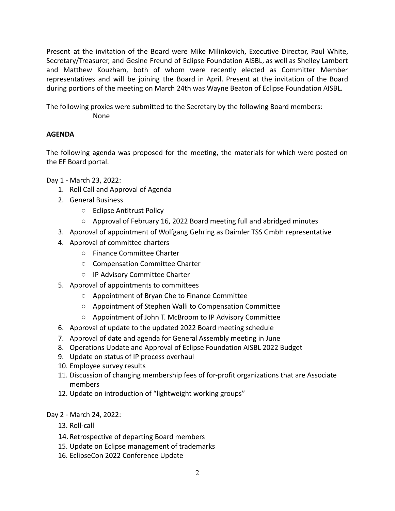Present at the invitation of the Board were Mike Milinkovich, Executive Director, Paul White, Secretary/Treasurer, and Gesine Freund of Eclipse Foundation AISBL, as well as Shelley Lambert and Matthew Kouzham, both of whom were recently elected as Committer Member representatives and will be joining the Board in April. Present at the invitation of the Board during portions of the meeting on March 24th was Wayne Beaton of Eclipse Foundation AISBL.

The following proxies were submitted to the Secretary by the following Board members: None

### **AGENDA**

The following agenda was proposed for the meeting, the materials for which were posted on the EF Board portal.

Day 1 - March 23, 2022:

- 1. Roll Call and Approval of Agenda
- 2. General Business
	- Eclipse Antitrust Policy
	- Approval of February 16, 2022 Board meeting full and abridged minutes
- 3. Approval of appointment of Wolfgang Gehring as Daimler TSS GmbH representative
- 4. Approval of committee charters
	- Finance Committee Charter
	- Compensation Committee Charter
	- IP Advisory Committee Charter
- 5. Approval of appointments to committees
	- Appointment of Bryan Che to Finance Committee
	- Appointment of Stephen Walli to Compensation Committee
	- Appointment of John T. McBroom to IP Advisory Committee
- 6. Approval of update to the updated 2022 Board meeting schedule
- 7. Approval of date and agenda for General Assembly meeting in June
- 8. Operations Update and Approval of Eclipse Foundation AISBL 2022 Budget
- 9. Update on status of IP process overhaul
- 10. Employee survey results
- 11. Discussion of changing membership fees of for-profit organizations that are Associate members
- 12. Update on introduction of "lightweight working groups"
- Day 2 March 24, 2022:
	- 13. Roll-call
	- 14.Retrospective of departing Board members
	- 15. Update on Eclipse management of trademarks
	- 16. EclipseCon 2022 Conference Update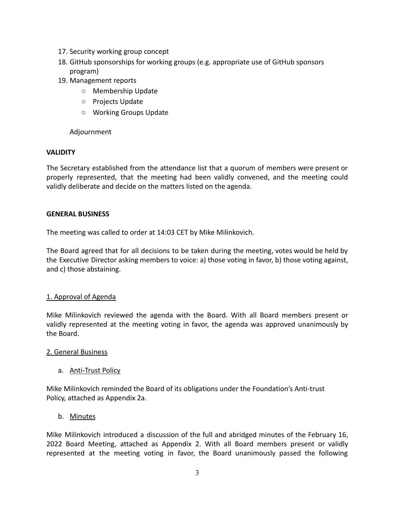- 17. Security working group concept
- 18. GitHub sponsorships for working groups (e.g. appropriate use of GitHub sponsors program)
- 19. Management reports
	- Membership Update
	- Projects Update
	- Working Groups Update

### Adjournment

### **VALIDITY**

The Secretary established from the attendance list that a quorum of members were present or properly represented, that the meeting had been validly convened, and the meeting could validly deliberate and decide on the matters listed on the agenda.

#### **GENERAL BUSINESS**

The meeting was called to order at 14:03 CET by Mike Milinkovich.

The Board agreed that for all decisions to be taken during the meeting, votes would be held by the Executive Director asking members to voice: a) those voting in favor, b) those voting against, and c) those abstaining.

#### 1. Approval of Agenda

Mike Milinkovich reviewed the agenda with the Board. With all Board members present or validly represented at the meeting voting in favor, the agenda was approved unanimously by the Board.

#### 2. General Business

a. Anti-Trust Policy

Mike Milinkovich reminded the Board of its obligations under the Foundation's Anti-trust Policy, attached as Appendix 2a.

b. Minutes

Mike Milinkovich introduced a discussion of the full and abridged minutes of the February 16, 2022 Board Meeting, attached as Appendix 2. With all Board members present or validly represented at the meeting voting in favor, the Board unanimously passed the following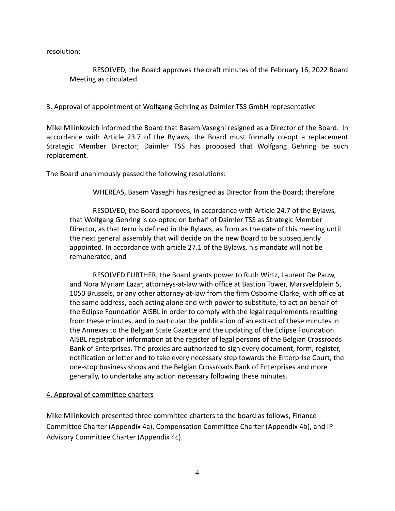resolution:

RESOLVED, the Board approves the draft minutes of the February 16, 2022 Board Meeting as circulated.

#### 3. Approval of appointment of Wolfgang Gehring as Daimler TSS GmbH representative

Mike Milinkovich informed the Board that Basem Vaseghi resigned as a Director of the Board. In accordance with Article 23.7 of the Bylaws, the Board must formally co-opt a replacement Strategic Member Director; Daimler TSS has proposed that Wolfgang Gehring be such replacement.

The Board unanimously passed the following resolutions:

WHEREAS, Basem Vaseghi has resigned as Director from the Board; therefore

RESOLVED, the Board approves, in accordance with Article 24.7 of the Bylaws, that Wolfgang Gehring is co-opted on behalf of Daimler TSS as Strategic Member Director, as that term is defined in the Bylaws, as from as the date of this meeting until the next general assembly that will decide on the new Board to be subsequently appointed. In accordance with article 27.1 of the Bylaws, his mandate will not be remunerated; and

RESOLVED FURTHER, the Board grants power to Ruth Wirtz, Laurent De Pauw, and Nora Myriam Lazar, attorneys-at-law with office at Bastion Tower, Marsveldplein 5, 1050 Brussels, or any other attorney-at-law from the firm Osborne Clarke, with office at the same address, each acting alone and with power to substitute, to act on behalf of the Eclipse Foundation AISBL in order to comply with the legal requirements resulting from these minutes, and in particular the publication of an extract of these minutes in the Annexes to the Belgian State Gazette and the updating of the Eclipse Foundation AISBL registration information at the register of legal persons of the Belgian Crossroads Bank of Enterprises. The proxies are authorized to sign every document, form, register, notification or letter and to take every necessary step towards the Enterprise Court, the one-stop business shops and the Belgian Crossroads Bank of Enterprises and more generally, to undertake any action necessary following these minutes.

#### 4. Approval of committee charters

Mike Milinkovich presented three committee charters to the board as follows, Finance Committee Charter (Appendix 4a), Compensation Committee Charter (Appendix 4b), and IP Advisory Committee Charter (Appendix 4c).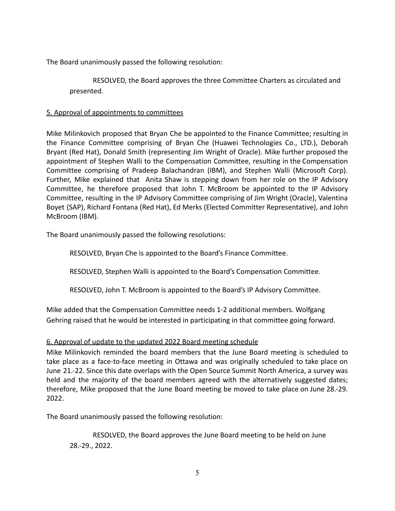The Board unanimously passed the following resolution:

RESOLVED, the Board approves the three Committee Charters as circulated and presented.

### 5. Approval of appointments to committees

Mike Milinkovich proposed that Bryan Che be appointed to the Finance Committee; resulting in the Finance Committee comprising of Bryan Che (Huawei Technologies Co., LTD.), Deborah Bryant (Red Hat), Donald Smith (representing Jim Wright of Oracle). Mike further proposed the appointment of Stephen Walli to the Compensation Committee, resulting in the Compensation Committee comprising of Pradeep Balachandran (IBM), and Stephen Walli (Microsoft Corp). Further, Mike explained that Anita Shaw is stepping down from her role on the IP Advisory Committee, he therefore proposed that John T. McBroom be appointed to the IP Advisory Committee, resulting in the IP Advisory Committee comprising of Jim Wright (Oracle), Valentina Boyet (SAP), Richard Fontana (Red Hat), Ed Merks (Elected Committer Representative), and John McBroom (IBM).

The Board unanimously passed the following resolutions:

RESOLVED, Bryan Che is appointed to the Board's Finance Committee.

RESOLVED, Stephen Walli is appointed to the Board's Compensation Committee.

RESOLVED, John T. McBroom is appointed to the Board's IP Advisory Committee.

Mike added that the Compensation Committee needs 1-2 additional members. Wolfgang Gehring raised that he would be interested in participating in that committee going forward.

## 6. Approval of update to the updated 2022 Board meeting schedule

Mike Milinkovich reminded the board members that the June Board meeting is scheduled to take place as a face-to-face meeting in Ottawa and was originally scheduled to take place on June 21.-22. Since this date overlaps with the Open Source Summit North America, a survey was held and the majority of the board members agreed with the alternatively suggested dates; therefore, Mike proposed that the June Board meeting be moved to take place on June 28.-29. 2022.

The Board unanimously passed the following resolution:

RESOLVED, the Board approves the June Board meeting to be held on June 28.-29., 2022.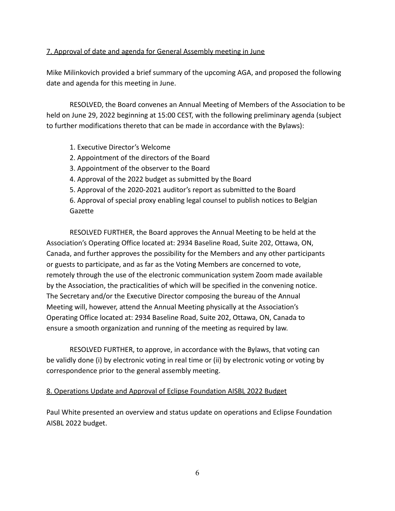### 7. Approval of date and agenda for General Assembly meeting in June

Mike Milinkovich provided a brief summary of the upcoming AGA, and proposed the following date and agenda for this meeting in June.

RESOLVED, the Board convenes an Annual Meeting of Members of the Association to be held on June 29, 2022 beginning at 15:00 CEST, with the following preliminary agenda (subject to further modifications thereto that can be made in accordance with the Bylaws):

### 1. Executive Director's Welcome

- 2. Appointment of the directors of the Board
- 3. Appointment of the observer to the Board
- 4. Approval of the 2022 budget as submitted by the Board
- 5. Approval of the 2020-2021 auditor's report as submitted to the Board

6. Approval of special proxy enabling legal counsel to publish notices to Belgian Gazette

RESOLVED FURTHER, the Board approves the Annual Meeting to be held at the Association's Operating Office located at: 2934 Baseline Road, Suite 202, Ottawa, ON, Canada, and further approves the possibility for the Members and any other participants or guests to participate, and as far as the Voting Members are concerned to vote, remotely through the use of the electronic communication system Zoom made available by the Association, the practicalities of which will be specified in the convening notice. The Secretary and/or the Executive Director composing the bureau of the Annual Meeting will, however, attend the Annual Meeting physically at the Association's Operating Office located at: 2934 Baseline Road, Suite 202, Ottawa, ON, Canada to ensure a smooth organization and running of the meeting as required by law.

RESOLVED FURTHER, to approve, in accordance with the Bylaws, that voting can be validly done (i) by electronic voting in real time or (ii) by electronic voting or voting by correspondence prior to the general assembly meeting.

### 8. Operations Update and Approval of Eclipse Foundation AISBL 2022 Budget

Paul White presented an overview and status update on operations and Eclipse Foundation AISBL 2022 budget.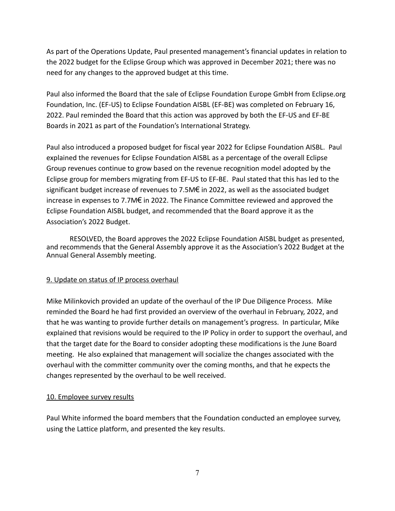As part of the Operations Update, Paul presented management's financial updates in relation to the 2022 budget for the Eclipse Group which was approved in December 2021; there was no need for any changes to the approved budget at this time.

Paul also informed the Board that the sale of Eclipse Foundation Europe GmbH from Eclipse.org Foundation, Inc. (EF-US) to Eclipse Foundation AISBL (EF-BE) was completed on February 16, 2022. Paul reminded the Board that this action was approved by both the EF-US and EF-BE Boards in 2021 as part of the Foundation's International Strategy.

Paul also introduced a proposed budget for fiscal year 2022 for Eclipse Foundation AISBL. Paul explained the revenues for Eclipse Foundation AISBL as a percentage of the overall Eclipse Group revenues continue to grow based on the revenue recognition model adopted by the Eclipse group for members migrating from EF-US to EF-BE. Paul stated that this has led to the significant budget increase of revenues to 7.5M€ in 2022, as well as the associated budget increase in expenses to 7.7M€ in 2022. The Finance Committee reviewed and approved the Eclipse Foundation AISBL budget, and recommended that the Board approve it as the Association's 2022 Budget.

RESOLVED, the Board approves the 2022 Eclipse Foundation AISBL budget as presented, and recommends that the General Assembly approve it as the Association's 2022 Budget at the Annual General Assembly meeting.

### 9. Update on status of IP process overhaul

Mike Milinkovich provided an update of the overhaul of the IP Due Diligence Process. Mike reminded the Board he had first provided an overview of the overhaul in February, 2022, and that he was wanting to provide further details on management's progress. In particular, Mike explained that revisions would be required to the IP Policy in order to support the overhaul, and that the target date for the Board to consider adopting these modifications is the June Board meeting. He also explained that management will socialize the changes associated with the overhaul with the committer community over the coming months, and that he expects the changes represented by the overhaul to be well received.

### 10. Employee survey results

Paul White informed the board members that the Foundation conducted an employee survey, using the Lattice platform, and presented the key results.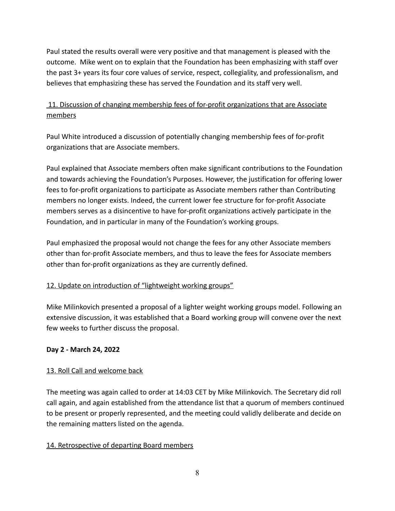Paul stated the results overall were very positive and that management is pleased with the outcome. Mike went on to explain that the Foundation has been emphasizing with staff over the past 3+ years its four core values of service, respect, collegiality, and professionalism, and believes that emphasizing these has served the Foundation and its staff very well.

# 11. Discussion of changing membership fees of for-profit organizations that are Associate members

Paul White introduced a discussion of potentially changing membership fees of for-profit organizations that are Associate members.

Paul explained that Associate members often make significant contributions to the Foundation and towards achieving the Foundation's Purposes. However, the justification for offering lower fees to for-profit organizations to participate as Associate members rather than Contributing members no longer exists. Indeed, the current lower fee structure for for-profit Associate members serves as a disincentive to have for-profit organizations actively participate in the Foundation, and in particular in many of the Foundation's working groups.

Paul emphasized the proposal would not change the fees for any other Associate members other than for-profit Associate members, and thus to leave the fees for Associate members other than for-profit organizations as they are currently defined.

## 12. Update on introduction of "lightweight working groups"

Mike Milinkovich presented a proposal of a lighter weight working groups model. Following an extensive discussion, it was established that a Board working group will convene over the next few weeks to further discuss the proposal.

## **Day 2 - March 24, 2022**

## 13. Roll Call and welcome back

The meeting was again called to order at 14:03 CET by Mike Milinkovich. The Secretary did roll call again, and again established from the attendance list that a quorum of members continued to be present or properly represented, and the meeting could validly deliberate and decide on the remaining matters listed on the agenda.

## 14. Retrospective of departing Board members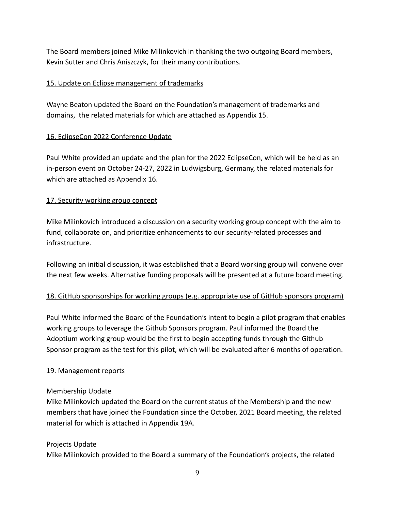The Board members joined Mike Milinkovich in thanking the two outgoing Board members, Kevin Sutter and Chris Aniszczyk, for their many contributions.

### 15. Update on Eclipse management of trademarks

Wayne Beaton updated the Board on the Foundation's management of trademarks and domains, the related materials for which are attached as Appendix 15.

## 16. EclipseCon 2022 Conference Update

Paul White provided an update and the plan for the 2022 EclipseCon, which will be held as an in-person event on October 24-27, 2022 in Ludwigsburg, Germany, the related materials for which are attached as Appendix 16.

### 17. Security working group concept

Mike Milinkovich introduced a discussion on a security working group concept with the aim to fund, collaborate on, and prioritize enhancements to our security-related processes and infrastructure.

Following an initial discussion, it was established that a Board working group will convene over the next few weeks. Alternative funding proposals will be presented at a future board meeting.

## 18. GitHub sponsorships for working groups (e.g. appropriate use of GitHub sponsors program)

Paul White informed the Board of the Foundation's intent to begin a pilot program that enables working groups to leverage the Github Sponsors program. Paul informed the Board the Adoptium working group would be the first to begin accepting funds through the Github Sponsor program as the test for this pilot, which will be evaluated after 6 months of operation.

### 19. Management reports

### Membership Update

Mike Milinkovich updated the Board on the current status of the Membership and the new members that have joined the Foundation since the October, 2021 Board meeting, the related material for which is attached in Appendix 19A.

### Projects Update

Mike Milinkovich provided to the Board a summary of the Foundation's projects, the related